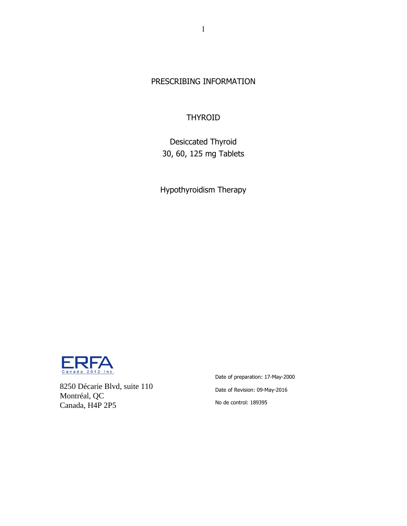# PRESCRIBING INFORMATION

# THYROID

Desiccated Thyroid 30, 60, 125 mg Tablets

Hypothyroidism Therapy



8250 Décarie Blvd, suite 110 Montréal, QC Canada, H4P 2P5

Date of preparation: 17-May-2000 Date of Revision: 09-May-2016 No de control: 189395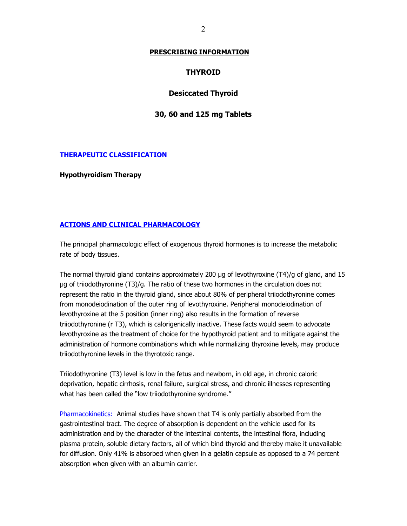#### **PRESCRIBING INFORMATION**

## **THYROID**

## **Desiccated Thyroid**

# **30, 60 and 125 mg Tablets**

#### **THERAPEUTIC CLASSIFICATION**

**Hypothyroidism Therapy**

#### **ACTIONS AND CLINICAL PHARMACOLOGY**

The principal pharmacologic effect of exogenous thyroid hormones is to increase the metabolic rate of body tissues.

The normal thyroid gland contains approximately 200 µg of levothyroxine (T4)/g of gland, and 15 µg of triiodothyronine (T3)/g. The ratio of these two hormones in the circulation does not represent the ratio in the thyroid gland, since about 80% of peripheral triiodothyronine comes from monodeiodination of the outer ring of levothyroxine. Peripheral monodeiodination of levothyroxine at the 5 position (inner ring) also results in the formation of reverse triiodothyronine (r T3), which is calorigenically inactive. These facts would seem to advocate levothyroxine as the treatment of choice for the hypothyroid patient and to mitigate against the administration of hormone combinations which while normalizing thyroxine levels, may produce triiodothyronine levels in the thyrotoxic range.

Triiodothyronine (T3) level is low in the fetus and newborn, in old age, in chronic caloric deprivation, hepatic cirrhosis, renal failure, surgical stress, and chronic illnesses representing what has been called the "low triiodothyronine syndrome."

Pharmacokinetics: Animal studies have shown that T4 is only partially absorbed from the gastrointestinal tract. The degree of absorption is dependent on the vehicle used for its administration and by the character of the intestinal contents, the intestinal flora, including plasma protein, soluble dietary factors, all of which bind thyroid and thereby make it unavailable for diffusion. Only 41% is absorbed when given in a gelatin capsule as opposed to a 74 percent absorption when given with an albumin carrier.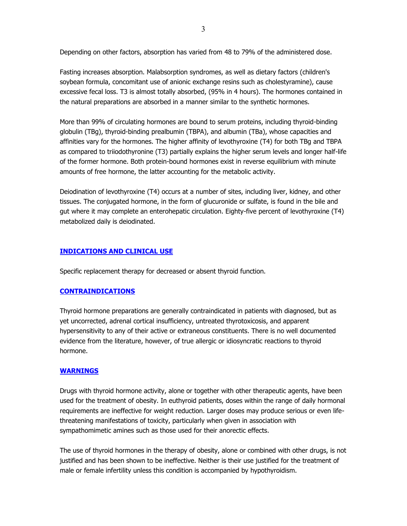Depending on other factors, absorption has varied from 48 to 79% of the administered dose.

Fasting increases absorption. Malabsorption syndromes, as well as dietary factors (children's soybean formula, concomitant use of anionic exchange resins such as cholestyramine), cause excessive fecal loss. T3 is almost totally absorbed, (95% in 4 hours). The hormones contained in the natural preparations are absorbed in a manner similar to the synthetic hormones.

More than 99% of circulating hormones are bound to serum proteins, including thyroid-binding globulin (TBg), thyroid-binding prealbumin (TBPA), and albumin (TBa), whose capacities and affinities vary for the hormones. The higher affinity of levothyroxine (T4) for both TBg and TBPA as compared to triiodothyronine (T3) partially explains the higher serum levels and longer half-life of the former hormone. Both protein-bound hormones exist in reverse equilibrium with minute amounts of free hormone, the latter accounting for the metabolic activity.

Deiodination of levothyroxine (T4) occurs at a number of sites, including liver, kidney, and other tissues. The conjugated hormone, in the form of glucuronide or sulfate, is found in the bile and gut where it may complete an enterohepatic circulation. Eighty-five percent of levothyroxine (T4) metabolized daily is deiodinated.

# **INDICATIONS AND CLINICAL USE**

Specific replacement therapy for decreased or absent thyroid function.

# **CONTRAINDICATIONS**

Thyroid hormone preparations are generally contraindicated in patients with diagnosed, but as yet uncorrected, adrenal cortical insufficiency, untreated thyrotoxicosis, and apparent hypersensitivity to any of their active or extraneous constituents. There is no well documented evidence from the literature, however, of true allergic or idiosyncratic reactions to thyroid hormone.

# **WARNINGS**

Drugs with thyroid hormone activity, alone or together with other therapeutic agents, have been used for the treatment of obesity. In euthyroid patients, doses within the range of daily hormonal requirements are ineffective for weight reduction. Larger doses may produce serious or even lifethreatening manifestations of toxicity, particularly when given in association with sympathomimetic amines such as those used for their anorectic effects.

The use of thyroid hormones in the therapy of obesity, alone or combined with other drugs, is not justified and has been shown to be ineffective. Neither is their use justified for the treatment of male or female infertility unless this condition is accompanied by hypothyroidism.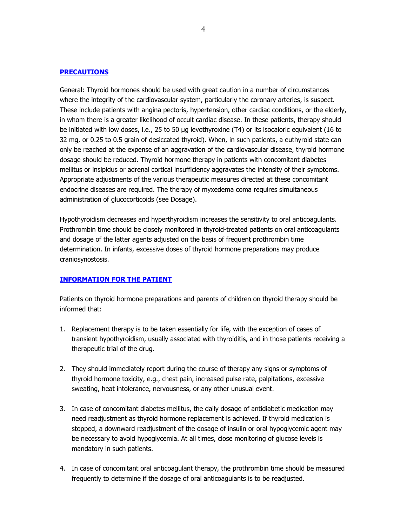#### **PRECAUTIONS**

General: Thyroid hormones should be used with great caution in a number of circumstances where the integrity of the cardiovascular system, particularly the coronary arteries, is suspect. These include patients with angina pectoris, hypertension, other cardiac conditions, or the elderly, in whom there is a greater likelihood of occult cardiac disease. In these patients, therapy should be initiated with low doses, i.e., 25 to 50 µg levothyroxine (T4) or its isocaloric equivalent (16 to 32 mg, or 0.25 to 0.5 grain of desiccated thyroid). When, in such patients, a euthyroid state can only be reached at the expense of an aggravation of the cardiovascular disease, thyroid hormone dosage should be reduced. Thyroid hormone therapy in patients with concomitant diabetes mellitus or insipidus or adrenal cortical insufficiency aggravates the intensity of their symptoms. Appropriate adjustments of the various therapeutic measures directed at these concomitant endocrine diseases are required. The therapy of myxedema coma requires simultaneous administration of glucocorticoids (see Dosage).

Hypothyroidism decreases and hyperthyroidism increases the sensitivity to oral anticoagulants. Prothrombin time should be closely monitored in thyroid-treated patients on oral anticoagulants and dosage of the latter agents adjusted on the basis of frequent prothrombin time determination. In infants, excessive doses of thyroid hormone preparations may produce craniosynostosis.

# **INFORMATION FOR THE PATIENT**

Patients on thyroid hormone preparations and parents of children on thyroid therapy should be informed that:

- 1. Replacement therapy is to be taken essentially for life, with the exception of cases of transient hypothyroidism, usually associated with thyroiditis, and in those patients receiving a therapeutic trial of the drug.
- 2. They should immediately report during the course of therapy any signs or symptoms of thyroid hormone toxicity, e.g., chest pain, increased pulse rate, palpitations, excessive sweating, heat intolerance, nervousness, or any other unusual event.
- 3. In case of concomitant diabetes mellitus, the daily dosage of antidiabetic medication may need readjustment as thyroid hormone replacement is achieved. If thyroid medication is stopped, a downward readjustment of the dosage of insulin or oral hypoglycemic agent may be necessary to avoid hypoglycemia. At all times, close monitoring of glucose levels is mandatory in such patients.
- 4. In case of concomitant oral anticoagulant therapy, the prothrombin time should be measured frequently to determine if the dosage of oral anticoagulants is to be readjusted.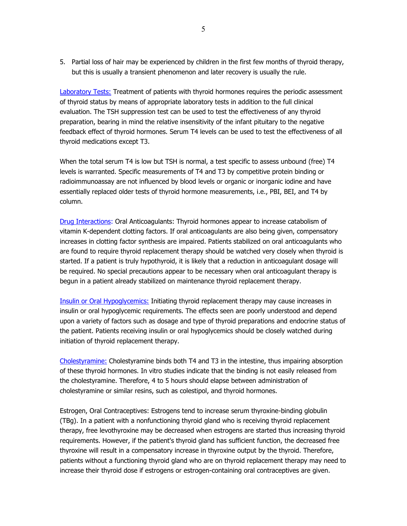5. Partial loss of hair may be experienced by children in the first few months of thyroid therapy, but this is usually a transient phenomenon and later recovery is usually the rule.

Laboratory Tests: Treatment of patients with thyroid hormones requires the periodic assessment of thyroid status by means of appropriate laboratory tests in addition to the full clinical evaluation. The TSH suppression test can be used to test the effectiveness of any thyroid preparation, bearing in mind the relative insensitivity of the infant pituitary to the negative feedback effect of thyroid hormones. Serum T4 levels can be used to test the effectiveness of all thyroid medications except T3.

When the total serum T4 is low but TSH is normal, a test specific to assess unbound (free) T4 levels is warranted. Specific measurements of T4 and T3 by competitive protein binding or radioimmunoassay are not influenced by blood levels or organic or inorganic iodine and have essentially replaced older tests of thyroid hormone measurements, i.e., PBI, BEI, and T4 by column.

Drug Interactions: Oral Anticoagulants: Thyroid hormones appear to increase catabolism of vitamin K-dependent clotting factors. If oral anticoagulants are also being given, compensatory increases in clotting factor synthesis are impaired. Patients stabilized on oral anticoagulants who are found to require thyroid replacement therapy should be watched very closely when thyroid is started. If a patient is truly hypothyroid, it is likely that a reduction in anticoagulant dosage will be required. No special precautions appear to be necessary when oral anticoagulant therapy is begun in a patient already stabilized on maintenance thyroid replacement therapy.

Insulin or Oral Hypoglycemics: Initiating thyroid replacement therapy may cause increases in insulin or oral hypoglycemic requirements. The effects seen are poorly understood and depend upon a variety of factors such as dosage and type of thyroid preparations and endocrine status of the patient. Patients receiving insulin or oral hypoglycemics should be closely watched during initiation of thyroid replacement therapy.

Cholestyramine: Cholestyramine binds both T4 and T3 in the intestine, thus impairing absorption of these thyroid hormones. In vitro studies indicate that the binding is not easily released from the cholestyramine. Therefore, 4 to 5 hours should elapse between administration of cholestyramine or similar resins, such as colestipol, and thyroid hormones.

Estrogen, Oral Contraceptives: Estrogens tend to increase serum thyroxine-binding globulin (TBg). In a patient with a nonfunctioning thyroid gland who is receiving thyroid replacement therapy, free levothyroxine may be decreased when estrogens are started thus increasing thyroid requirements. However, if the patient's thyroid gland has sufficient function, the decreased free thyroxine will result in a compensatory increase in thyroxine output by the thyroid. Therefore, patients without a functioning thyroid gland who are on thyroid replacement therapy may need to increase their thyroid dose if estrogens or estrogen-containing oral contraceptives are given.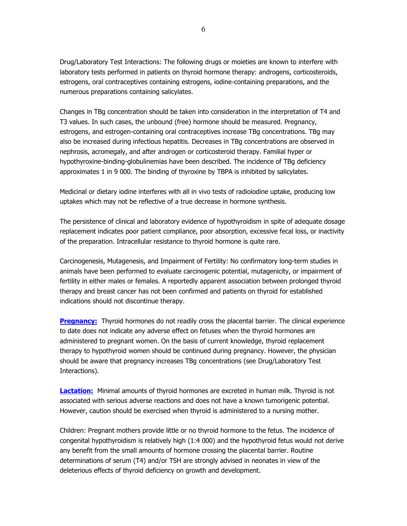Drug/Laboratory Test Interactions: The following drugs or moieties are known to interfere with laboratory tests performed in patients on thyroid hormone therapy: androgens, corticosteroids, estrogens, oral contraceptives containing estrogens, iodine-containing preparations, and the numerous preparations containing salicylates.

Changes in TBg concentration should be taken into consideration in the interpretation of T4 and T3 values. In such cases, the unbound (free) hormone should be measured. Pregnancy, estrogens, and estrogen-containing oral contraceptives increase TBg concentrations. TBg may also be increased during infectious hepatitis. Decreases in TBg concentrations are observed in nephrosis, acromegaly, and after androgen or corticosteroid therapy. Familial hyper or hypothyroxine-binding-globulinemias have been described. The incidence of TBg deficiency approximates 1 in 9 000. The binding of thyroxine by TBPA is inhibited by salicylates.

Medicinal or dietary iodine interferes with all in vivo tests of radioiodine uptake, producing low uptakes which may not be reflective of a true decrease in hormone synthesis.

The persistence of clinical and laboratory evidence of hypothyroidism in spite of adequate dosage replacement indicates poor patient compliance, poor absorption, excessive fecal loss, or inactivity of the preparation. Intracellular resistance to thyroid hormone is quite rare.

Carcinogenesis, Mutagenesis, and Impairment of Fertility: No confirmatory long-term studies in animals have been performed to evaluate carcinogenic potential, mutagenicity, or impairment of fertility in either males or females. A reportedly apparent association between prolonged thyroid therapy and breast cancer has not been confirmed and patients on thyroid for established indications should not discontinue therapy.

**Pregnancy:** Thyroid hormones do not readily cross the placental barrier. The clinical experience to date does not indicate any adverse effect on fetuses when the thyroid hormones are administered to pregnant women. On the basis of current knowledge, thyroid replacement therapy to hypothyroid women should be continued during pregnancy. However, the physician should be aware that pregnancy increases TBg concentrations (see Drug/Laboratory Test Interactions).

**Lactation:** Minimal amounts of thyroid hormones are excreted in human milk. Thyroid is not associated with serious adverse reactions and does not have a known tumorigenic potential. However, caution should be exercised when thyroid is administered to a nursing mother.

Children: Pregnant mothers provide little or no thyroid hormone to the fetus. The incidence of congenital hypothyroidism is relatively high (1:4 000) and the hypothyroid fetus would not derive any benefit from the small amounts of hormone crossing the placental barrier. Routine determinations of serum (T4) and/or TSH are strongly advised in neonates in view of the deleterious effects of thyroid deficiency on growth and development.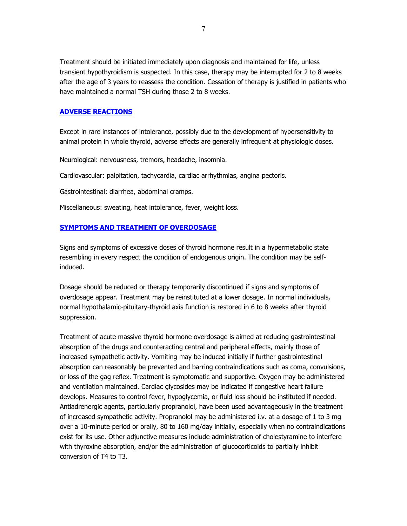Treatment should be initiated immediately upon diagnosis and maintained for life, unless transient hypothyroidism is suspected. In this case, therapy may be interrupted for 2 to 8 weeks after the age of 3 years to reassess the condition. Cessation of therapy is justified in patients who have maintained a normal TSH during those 2 to 8 weeks.

### **ADVERSE REACTIONS**

Except in rare instances of intolerance, possibly due to the development of hypersensitivity to animal protein in whole thyroid, adverse effects are generally infrequent at physiologic doses.

Neurological: nervousness, tremors, headache, insomnia.

Cardiovascular: palpitation, tachycardia, cardiac arrhythmias, angina pectoris.

Gastrointestinal: diarrhea, abdominal cramps.

Miscellaneous: sweating, heat intolerance, fever, weight loss.

#### **SYMPTOMS AND TREATMENT OF OVERDOSAGE**

Signs and symptoms of excessive doses of thyroid hormone result in a hypermetabolic state resembling in every respect the condition of endogenous origin. The condition may be selfinduced.

Dosage should be reduced or therapy temporarily discontinued if signs and symptoms of overdosage appear. Treatment may be reinstituted at a lower dosage. In normal individuals, normal hypothalamic-pituitary-thyroid axis function is restored in 6 to 8 weeks after thyroid suppression.

Treatment of acute massive thyroid hormone overdosage is aimed at reducing gastrointestinal absorption of the drugs and counteracting central and peripheral effects, mainly those of increased sympathetic activity. Vomiting may be induced initially if further gastrointestinal absorption can reasonably be prevented and barring contraindications such as coma, convulsions, or loss of the gag reflex. Treatment is symptomatic and supportive. Oxygen may be administered and ventilation maintained. Cardiac glycosides may be indicated if congestive heart failure develops. Measures to control fever, hypoglycemia, or fluid loss should be instituted if needed. Antiadrenergic agents, particularly propranolol, have been used advantageously in the treatment of increased sympathetic activity. Propranolol may be administered i.v. at a dosage of 1 to 3 mg over a 10-minute period or orally, 80 to 160 mg/day initially, especially when no contraindications exist for its use. Other adjunctive measures include administration of cholestyramine to interfere with thyroxine absorption, and/or the administration of glucocorticoids to partially inhibit conversion of T4 to T3.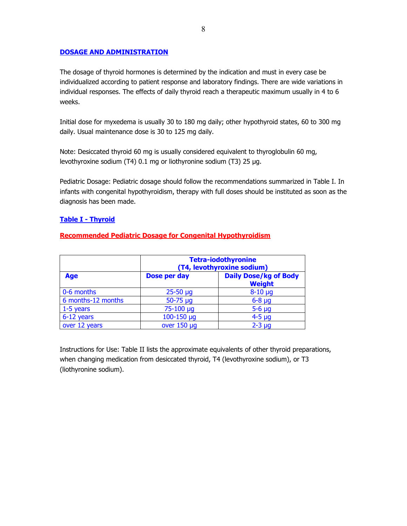# **DOSAGE AND ADMINISTRATION**

The dosage of thyroid hormones is determined by the indication and must in every case be individualized according to patient response and laboratory findings. There are wide variations in individual responses. The effects of daily thyroid reach a therapeutic maximum usually in 4 to 6 weeks.

Initial dose for myxedema is usually 30 to 180 mg daily; other hypothyroid states, 60 to 300 mg daily. Usual maintenance dose is 30 to 125 mg daily.

Note: Desiccated thyroid 60 mg is usually considered equivalent to thyroglobulin 60 mg, levothyroxine sodium (T4) 0.1 mg or liothyronine sodium (T3) 25 µg.

Pediatric Dosage: Pediatric dosage should follow the recommendations summarized in Table I. In infants with congenital hypothyroidism, therapy with full doses should be instituted as soon as the diagnosis has been made.

# **Table I - Thyroid**

# **Recommended Pediatric Dosage for Congenital Hypothyroidism**

|                    | <b>Tetra-iodothyronine</b><br>(T4, levothyroxine sodium) |                                               |  |
|--------------------|----------------------------------------------------------|-----------------------------------------------|--|
| <b>Age</b>         | Dose per day                                             | <b>Daily Dose/kg of Body</b><br><b>Weight</b> |  |
| 0-6 months         | $25 - 50$ $\mu$ g                                        | $8-10 \mu q$                                  |  |
| 6 months-12 months | $50 - 75$ $\mu$ g                                        | $6-8$ µg                                      |  |
| $1-5$ years        | 75-100 µg                                                | $5-6$ $\mu$ g                                 |  |
| 6-12 years         | $100 - 150$ µg                                           | $4-5$ µg                                      |  |
| over 12 years      | over $150 \mu q$                                         | $2-3$ $\mu$ g                                 |  |

Instructions for Use: Table II lists the approximate equivalents of other thyroid preparations, when changing medication from desiccated thyroid, T4 (levothyroxine sodium), or T3 (liothyronine sodium).